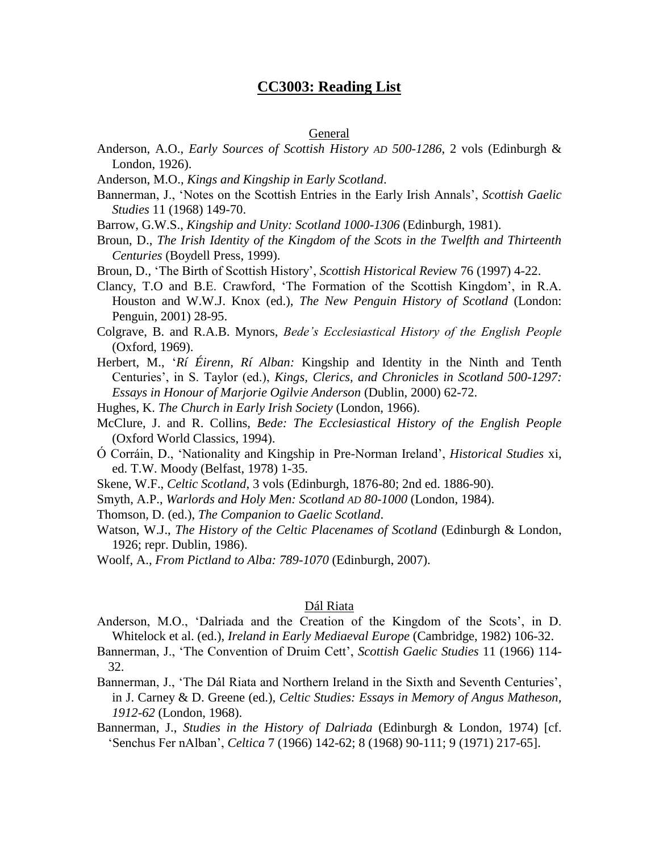# **CC3003: Reading List**

#### General

- Anderson, A.O., *Early Sources of Scottish History AD 500-1286*, 2 vols (Edinburgh & London, 1926).
- Anderson, M.O., *Kings and Kingship in Early Scotland*.
- Bannerman, J., 'Notes on the Scottish Entries in the Early Irish Annals', *Scottish Gaelic Studies* 11 (1968) 149-70.
- Barrow, G.W.S., *Kingship and Unity: Scotland 1000-1306* (Edinburgh, 1981).
- Broun, D., *The Irish Identity of the Kingdom of the Scots in the Twelfth and Thirteenth Centuries* (Boydell Press, 1999).
- Broun, D., 'The Birth of Scottish History', *Scottish Historical Revie*w 76 (1997) 4-22.
- Clancy, T.O and B.E. Crawford, 'The Formation of the Scottish Kingdom', in R.A. Houston and W.W.J. Knox (ed.), *The New Penguin History of Scotland* (London: Penguin, 2001) 28-95.
- Colgrave, B. and R.A.B. Mynors, *Bede's Ecclesiastical History of the English People* (Oxford, 1969).
- Herbert, M., '*Rí Éirenn, Rí Alban:* Kingship and Identity in the Ninth and Tenth Centuries', in S. Taylor (ed.), *Kings, Clerics, and Chronicles in Scotland 500-1297: Essays in Honour of Marjorie Ogilvie Anderson* (Dublin, 2000) 62-72.
- Hughes, K. *The Church in Early Irish Society* (London, 1966).
- McClure, J. and R. Collins, *Bede: The Ecclesiastical History of the English People* (Oxford World Classics, 1994).
- Ó Corráin, D., 'Nationality and Kingship in Pre-Norman Ireland', *Historical Studies* xi, ed. T.W. Moody (Belfast, 1978) 1-35.
- Skene, W.F., *Celtic Scotland*, 3 vols (Edinburgh, 1876-80; 2nd ed. 1886-90).
- Smyth, A.P., *Warlords and Holy Men: Scotland AD 80-1000* (London, 1984).
- Thomson, D. (ed.), *The Companion to Gaelic Scotland*.
- Watson, W.J., *The History of the Celtic Placenames of Scotland* (Edinburgh & London, 1926; repr. Dublin, 1986).
- Woolf, A., *From Pictland to Alba: 789-1070* (Edinburgh, 2007).

## Dál Riata

- Anderson, M.O., 'Dalriada and the Creation of the Kingdom of the Scots', in D. Whitelock et al. (ed.), *Ireland in Early Mediaeval Europe* (Cambridge, 1982) 106-32.
- Bannerman, J., 'The Convention of Druim Cett', *Scottish Gaelic Studies* 11 (1966) 114- 32.
- Bannerman, J., 'The Dál Riata and Northern Ireland in the Sixth and Seventh Centuries', in J. Carney & D. Greene (ed.), *Celtic Studies: Essays in Memory of Angus Matheson, 1912-62* (London, 1968).
- Bannerman, J., *Studies in the History of Dalriada* (Edinburgh & London, 1974) [cf. 'Senchus Fer nAlban', *Celtica* 7 (1966) 142-62; 8 (1968) 90-111; 9 (1971) 217-65].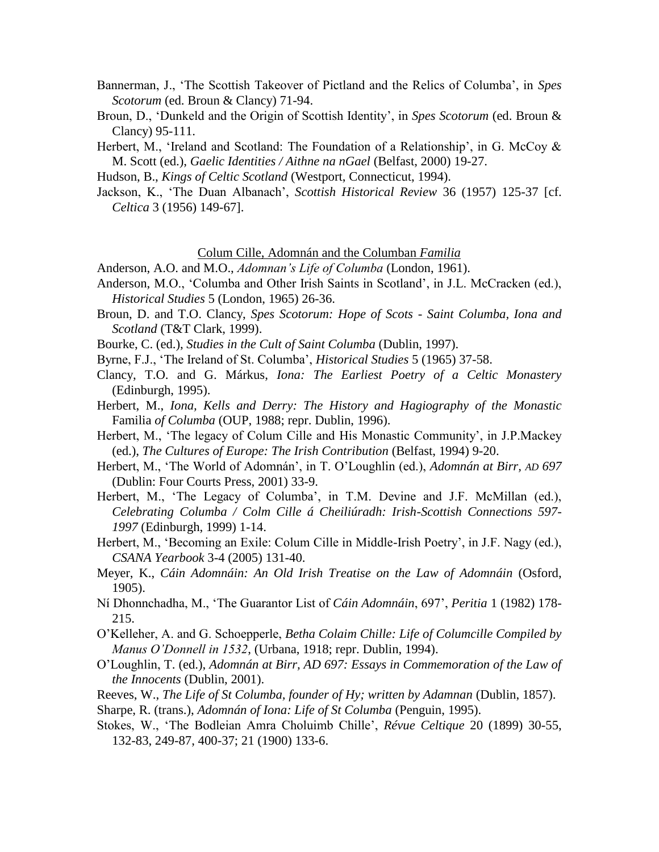- Bannerman, J., 'The Scottish Takeover of Pictland and the Relics of Columba', in *Spes Scotorum* (ed. Broun & Clancy) 71-94.
- Broun, D., 'Dunkeld and the Origin of Scottish Identity', in *Spes Scotorum* (ed. Broun & Clancy) 95-111.
- Herbert, M., 'Ireland and Scotland: The Foundation of a Relationship', in G. McCoy & M. Scott (ed.), *Gaelic Identities / Aithne na nGael* (Belfast, 2000) 19-27.
- Hudson, B., *Kings of Celtic Scotland* (Westport, Connecticut, 1994).
- Jackson, K., 'The Duan Albanach', *Scottish Historical Review* 36 (1957) 125-37 [cf. *Celtica* 3 (1956) 149-67].

Colum Cille, Adomnán and the Columban *Familia*

Anderson, A.O. and M.O., *Adomnan's Life of Columba* (London, 1961).

- Anderson, M.O., 'Columba and Other Irish Saints in Scotland', in J.L. McCracken (ed.), *Historical Studies* 5 (London, 1965) 26-36.
- Broun, D. and T.O. Clancy, *Spes Scotorum: Hope of Scots - Saint Columba, Iona and Scotland* (T&T Clark, 1999).
- Bourke, C. (ed.), *Studies in the Cult of Saint Columba* (Dublin, 1997).
- Byrne, F.J., 'The Ireland of St. Columba', *Historical Studies* 5 (1965) 37-58.
- Clancy, T.O. and G. Márkus, *Iona: The Earliest Poetry of a Celtic Monastery* (Edinburgh, 1995).
- Herbert, M., *Iona, Kells and Derry: The History and Hagiography of the Monastic*  Familia *of Columba* (OUP, 1988; repr. Dublin, 1996).
- Herbert, M., 'The legacy of Colum Cille and His Monastic Community', in J.P.Mackey (ed.), *The Cultures of Europe: The Irish Contribution* (Belfast, 1994) 9-20.
- Herbert, M., 'The World of Adomnán', in T. O'Loughlin (ed.), *Adomnán at Birr, AD 697* (Dublin: Four Courts Press, 2001) 33-9.
- Herbert, M., 'The Legacy of Columba', in T.M. Devine and J.F. McMillan (ed.), *Celebrating Columba / Colm Cille á Cheiliúradh: Irish-Scottish Connections 597- 1997* (Edinburgh, 1999) 1-14.
- Herbert, M., 'Becoming an Exile: Colum Cille in Middle-Irish Poetry', in J.F. Nagy (ed.), *CSANA Yearbook* 3-4 (2005) 131-40.
- Meyer, K., *Cáin Adomnáin: An Old Irish Treatise on the Law of Adomnáin* (Osford, 1905).
- Ní Dhonnchadha, M., 'The Guarantor List of *Cáin Adomnáin*, 697', *Peritia* 1 (1982) 178- 215.
- O'Kelleher, A. and G. Schoepperle, *Betha Colaim Chille: Life of Columcille Compiled by Manus O'Donnell in 1532*, (Urbana, 1918; repr. Dublin, 1994).
- O'Loughlin, T. (ed.), *Adomnán at Birr, AD 697: Essays in Commemoration of the Law of the Innocents* (Dublin, 2001).
- Reeves, W., *The Life of St Columba, founder of Hy; written by Adamnan* (Dublin, 1857).
- Sharpe, R. (trans.), *Adomnán of Iona: Life of St Columba* (Penguin, 1995).
- Stokes, W., 'The Bodleian Amra Choluimb Chille', *Révue Celtique* 20 (1899) 30-55, 132-83, 249-87, 400-37; 21 (1900) 133-6.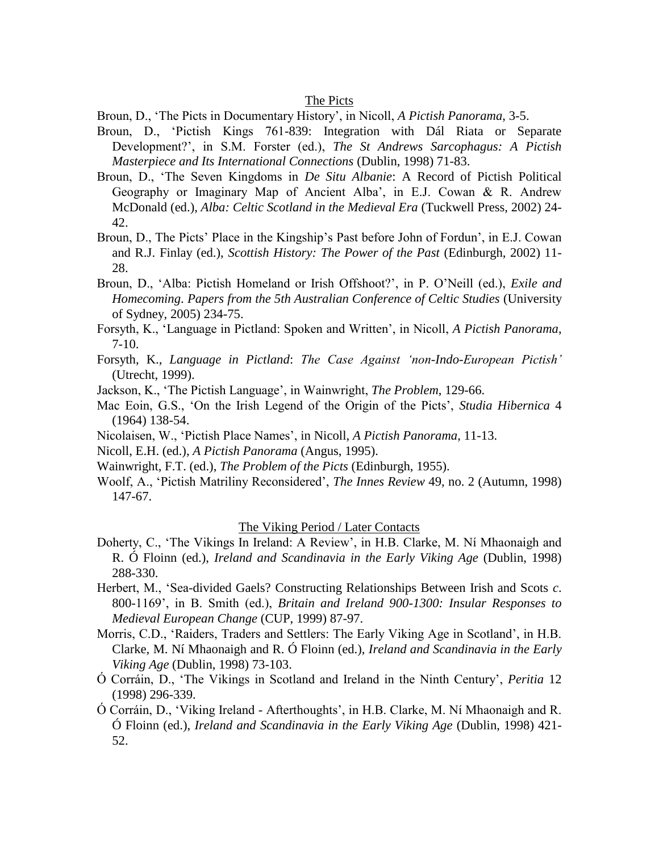### The Picts

Broun, D., 'The Picts in Documentary History', in Nicoll, *A Pictish Panorama*, 3-5.

- Broun, D., 'Pictish Kings 761-839: Integration with Dál Riata or Separate Development?', in S.M. Forster (ed.), *The St Andrews Sarcophagus: A Pictish Masterpiece and Its International Connections* (Dublin, 1998) 71-83.
- Broun, D., 'The Seven Kingdoms in *De Situ Albanie*: A Record of Pictish Political Geography or Imaginary Map of Ancient Alba', in E.J. Cowan & R. Andrew McDonald (ed.), *Alba: Celtic Scotland in the Medieval Era* (Tuckwell Press, 2002) 24- 42.
- Broun, D., The Picts' Place in the Kingship's Past before John of Fordun', in E.J. Cowan and R.J. Finlay (ed.), *Scottish History: The Power of the Past* (Edinburgh, 2002) 11- 28.
- Broun, D., 'Alba: Pictish Homeland or Irish Offshoot?', in P. O'Neill (ed.), *Exile and Homecoming*. *Papers from the 5th Australian Conference of Celtic Studies* (University of Sydney, 2005) 234-75.
- Forsyth, K., 'Language in Pictland: Spoken and Written', in Nicoll, *A Pictish Panorama*, 7-10.
- Forsyth, K., *Language in Pictland*: *The Case Against 'non-Indo-European Pictish'* (Utrecht, 1999).
- Jackson, K., 'The Pictish Language', in Wainwright, *The Problem*, 129-66.
- Mac Eoin, G.S., 'On the Irish Legend of the Origin of the Picts', *Studia Hibernica* 4 (1964) 138-54.
- Nicolaisen, W., 'Pictish Place Names', in Nicoll, *A Pictish Panorama*, 11-13.
- Nicoll, E.H. (ed.), *A Pictish Panorama* (Angus, 1995).
- Wainwright, F.T. (ed.), *The Problem of the Picts* (Edinburgh, 1955).
- Woolf, A., 'Pictish Matriliny Reconsidered', *The Innes Review* 49, no. 2 (Autumn, 1998) 147-67.

### The Viking Period / Later Contacts

- Doherty, C., 'The Vikings In Ireland: A Review', in H.B. Clarke, M. Ní Mhaonaigh and R. Ó Floinn (ed.), *Ireland and Scandinavia in the Early Viking Age* (Dublin, 1998) 288-330.
- Herbert, M., 'Sea-divided Gaels? Constructing Relationships Between Irish and Scots *c*. 800-1169', in B. Smith (ed.), *Britain and Ireland 900-1300: Insular Responses to Medieval European Change* (CUP, 1999) 87-97.
- Morris, C.D., 'Raiders, Traders and Settlers: The Early Viking Age in Scotland', in H.B. Clarke, M. Ní Mhaonaigh and R. Ó Floinn (ed.), *Ireland and Scandinavia in the Early Viking Age* (Dublin, 1998) 73-103.
- Ó Corráin, D., 'The Vikings in Scotland and Ireland in the Ninth Century', *Peritia* 12 (1998) 296-339.
- Ó Corráin, D., 'Viking Ireland Afterthoughts', in H.B. Clarke, M. Ní Mhaonaigh and R. Ó Floinn (ed.), *Ireland and Scandinavia in the Early Viking Age* (Dublin, 1998) 421- 52.